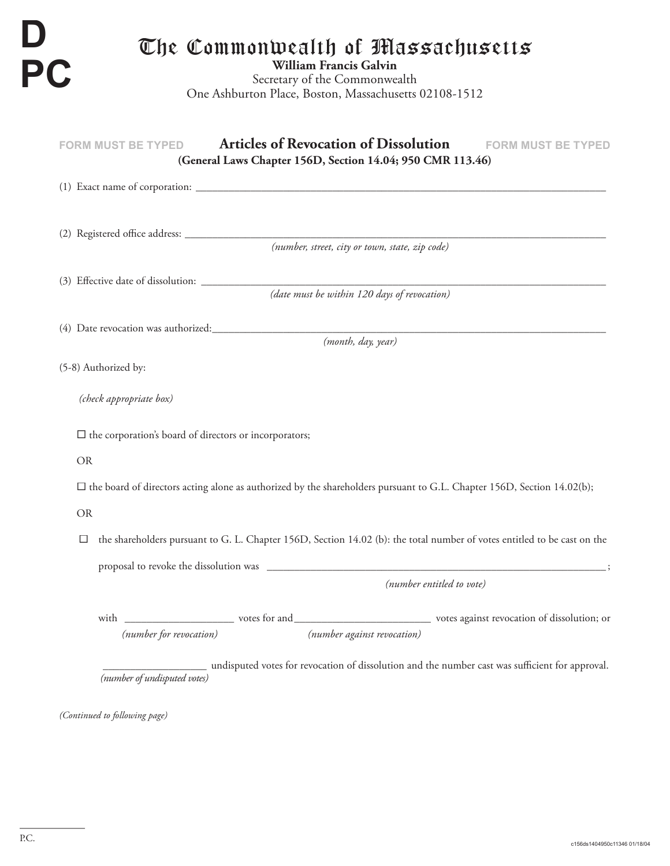FORM MUST BE TYPED **Articles of Revocation of Dissolution** FORM MUST BE TYPED The Commonwealth of Massachusetts **William Francis Galvin** Secretary of the Commonwealth One Ashburton Place, Boston, Massachusetts 02108-1512 **D PC (General Laws Chapter 156D, Section 14.04; 950 CMR 113.46)** (1) Exact name of corporation: \_\_\_\_\_\_\_\_\_\_\_\_\_\_\_\_\_\_\_\_\_\_\_\_\_\_\_\_\_\_\_\_\_\_\_\_\_\_\_\_\_\_\_\_\_\_\_\_\_\_\_\_\_\_\_\_\_\_\_\_\_\_\_\_\_\_\_\_\_\_\_\_\_\_\_ (2) Registered offi ce address: \_\_\_\_\_\_\_\_\_\_\_\_\_\_\_\_\_\_\_\_\_\_\_\_\_\_\_\_\_\_\_\_\_\_\_\_\_\_\_\_\_\_\_\_\_\_\_\_\_\_\_\_\_\_\_\_\_\_\_\_\_\_\_\_\_\_\_\_\_\_\_\_\_\_\_\_\_ *(number, street, city or town, state, zip code)*  $(3)$  Effective date of dissolution:  $\Box$ *(date must be within 120 days of revocation)* (4) Date revocation was authorized: \_\_\_\_\_\_\_\_\_\_\_\_\_\_\_\_\_\_\_\_\_\_\_\_\_\_\_\_\_\_\_\_\_\_\_\_\_\_\_\_\_\_\_\_\_\_\_\_\_\_\_\_\_\_\_\_\_\_\_\_\_\_\_\_\_\_\_\_\_\_\_\_ *(month, day, year)* (5-8) Authorized by: *(check appropriate box)*  $\square$  the corporation's board of directors or incorporators; OR  $\square$  the board of directors acting alone as authorized by the shareholders pursuant to G.L. Chapter 156D, Section 14.02(b); OR  $\square$  the shareholders pursuant to G. L. Chapter 156D, Section 14.02 (b): the total number of votes entitled to be cast on the proposal to revoke the dissolution was \_\_\_\_\_\_\_\_\_\_\_\_\_\_\_\_\_\_\_\_\_\_\_\_\_\_\_\_\_\_\_\_\_\_\_\_\_\_\_\_\_\_\_\_\_\_\_\_\_\_\_\_\_\_\_\_\_\_\_\_\_\_ ; *(number entitled to vote)* with \_\_\_\_\_\_\_\_\_\_\_\_\_\_\_\_\_\_\_\_ votes for and \_\_\_\_\_\_\_\_\_\_\_\_\_\_\_\_\_\_\_\_\_\_\_\_\_ votes against revocation of dissolution; or *(number for revocation) (number against revocation)*

> \_\_\_\_\_\_\_\_\_\_\_\_\_\_\_\_\_\_\_ undisputed votes for revocation of dissolution and the number cast was suffi cient for approval.  *(number of undisputed votes)*

*(Continued to following page)*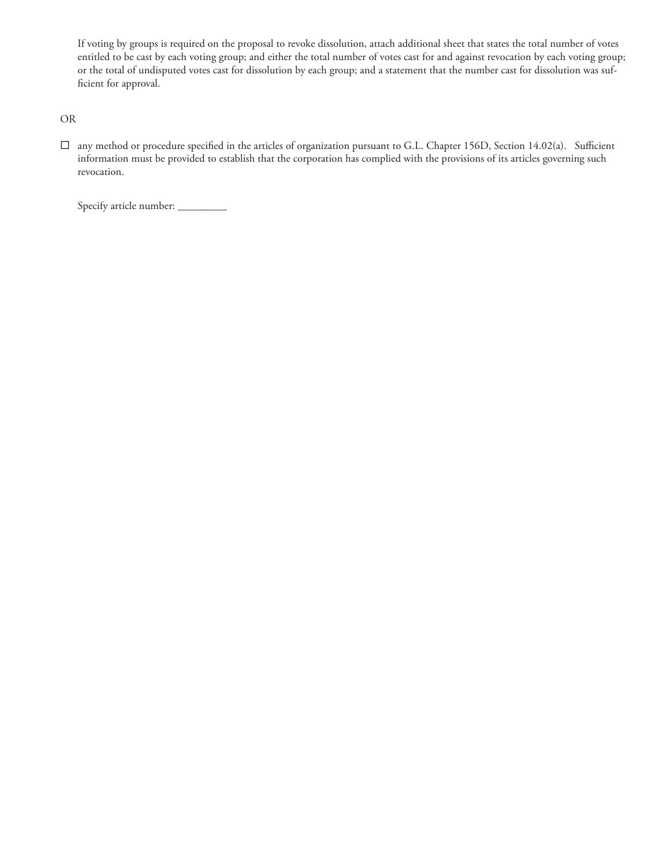If voting by groups is required on the proposal to revoke dissolution, attach additional sheet that states the total number of votes entitled to be cast by each voting group; and either the total number of votes cast for and against revocation by each voting group; or the total of undisputed votes cast for dissolution by each group; and a statement that the number cast for dissolution was sufficient for approval.

OR

 $\square$  any method or procedure specified in the articles of organization pursuant to G.L. Chapter 156D, Section 14.02(a). Sufficient information must be provided to establish that the corporation has complied with the provisions of its articles governing such revocation.

Specify article number: \_\_\_\_\_\_\_\_\_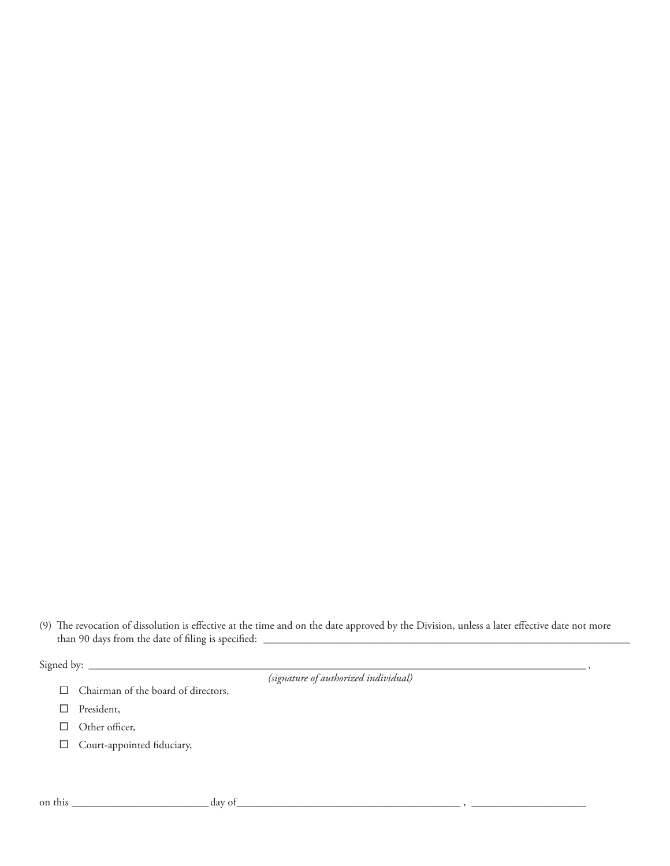(9) The revocation of dissolution is effective at the time and on the date approved by the Division, unless a later effective date not more than 90 days from the date of fi ling is specifi ed: \_\_\_\_\_\_\_\_\_\_\_\_\_\_\_\_\_\_\_\_\_\_\_\_\_\_\_\_\_\_\_\_\_\_\_\_\_\_\_\_\_\_\_\_\_\_\_\_\_\_\_\_\_\_\_\_\_\_\_\_\_\_\_\_\_\_\_

Signed by: \_\_\_\_\_\_\_\_\_\_\_\_\_\_\_\_\_\_\_\_\_\_\_\_\_\_\_\_\_\_\_\_\_\_\_\_\_\_\_\_\_\_\_\_\_\_\_\_\_\_\_\_\_\_\_\_\_\_\_\_\_\_\_\_\_\_\_\_\_\_\_\_\_\_\_\_\_\_\_\_\_\_\_\_\_\_\_\_\_\_\_ ,

*(signature of authorized individual)*

- $\Box$  Chairman of the board of directors,
- ® President,
- $\Box$  Other officer,
- $\Box$  Court-appointed fiduciary,